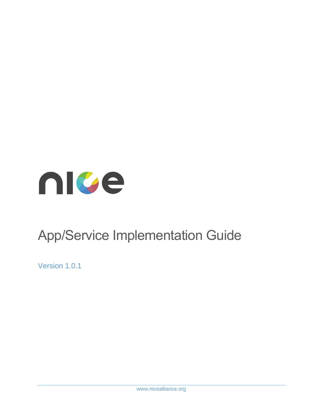

# App/Service Implementation Guide

Version 1.0.1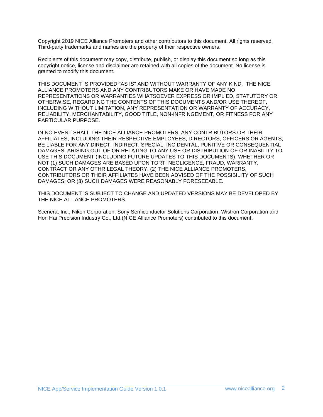Copyright 2019 NICE Alliance Promoters and other contributors to this document. All rights reserved. Third-party trademarks and names are the property of their respective owners.

Recipients of this document may copy, distribute, publish, or display this document so long as this copyright notice, license and disclaimer are retained with all copies of the document. No license is granted to modify this document.

THIS DOCUMENT IS PROVIDED "AS IS" AND WITHOUT WARRANTY OF ANY KIND. THE NICE ALLIANCE PROMOTERS AND ANY CONTRIBUTORS MAKE OR HAVE MADE NO REPRESENTATIONS OR WARRANTIES WHATSOEVER EXPRESS OR IMPLIED, STATUTORY OR OTHERWISE, REGARDING THE CONTENTS OF THIS DOCUMENTS AND/OR USE THEREOF, INCLUDING WITHOUT LIMITATION, ANY REPRESENTATION OR WARRANTY OF ACCURACY, RELIABILITY, MERCHANTABILITY, GOOD TITLE, NON-INFRINGEMENT, OR FITNESS FOR ANY PARTICULAR PURPOSE.

IN NO EVENT SHALL THE NICE ALLIANCE PROMOTERS, ANY CONTRIBUTORS OR THEIR AFFILIATES, INCLUDING THEIR RESPECTIVE EMPLOYEES, DIRECTORS, OFFICERS OR AGENTS, BE LIABLE FOR ANY DIRECT, INDIRECT, SPECIAL, INCIDENTAL, PUNITIVE OR CONSEQUENTIAL DAMAGES, ARISING OUT OF OR RELATING TO ANY USE OR DISTRIBUTION OF OR INABILITY TO USE THIS DOCUMENT (INCLUDING FUTURE UPDATES TO THIS DOCUMENTS), WHETHER OR NOT (1) SUCH DAMAGES ARE BASED UPON TORT, NEGLIGENCE, FRAUD, WARRANTY, CONTRACT OR ANY OTHR LEGAL THEORY, (2) THE NICE ALLIANCE PROMOTERS, CONTRIBUTORS OR THEIR AFFILIATES HAVE BEEN ADVISED OF THE POSSIBILITY OF SUCH DAMAGES; OR (3) SUCH DAMAGES WERE REASONABLY FORESEEABLE.

THIS DOCUMENT IS SUBJECT TO CHANGE AND UPDATED VERSIONS MAY BE DEVELOPED BY THE NICE ALLIANCE PROMOTERS.

Scenera, Inc., Nikon Corporation, Sony Semiconductor Solutions Corporation, Wistron Corporation and Hon Hai Precision Industry Co., Ltd.(NICE Alliance Promoters) contributed to this document.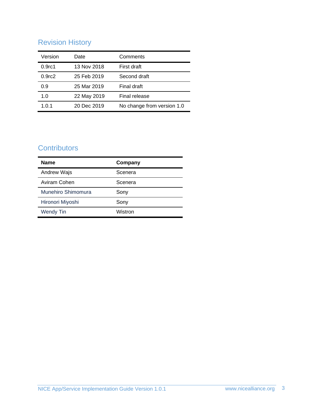# Revision History

| Version            | Date        | Comments                   |
|--------------------|-------------|----------------------------|
| 0.9 <sub>rc1</sub> | 13 Nov 2018 | First draft                |
| 0.9 <sub>rc2</sub> | 25 Feb 2019 | Second draft               |
| 0.9                | 25 Mar 2019 | Final draft                |
| 1.0                | 22 May 2019 | Final release              |
| 1.0.1              | 20 Dec 2019 | No change from version 1.0 |

## **Contributors**

| <b>Name</b>        | Company |  |
|--------------------|---------|--|
| Andrew Wajs        | Scenera |  |
| Aviram Cohen       | Scenera |  |
| Munehiro Shimomura | Sony    |  |
| Hironori Miyoshi   | Sony    |  |
| <b>Wendy Tin</b>   | Wistron |  |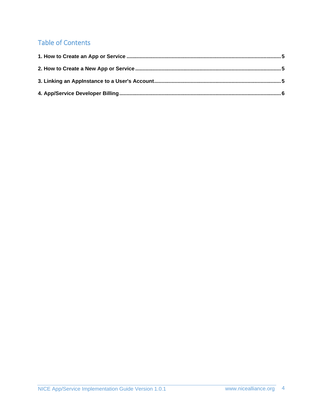# Table of Contents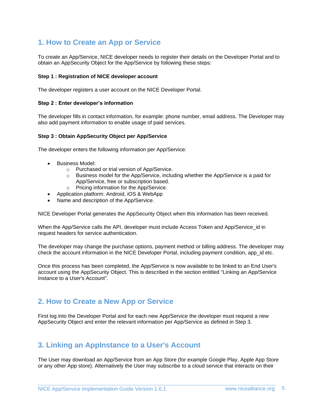### <span id="page-4-0"></span>**1. How to Create an App or Service**

To create an App/Service, NICE developer needs to register their details on the Developer Portal and to obtain an AppSecurity Object for the App/Service by following these steps:

#### **Step 1 : Registration of NICE developer account**

The developer registers a user account on the NICE Developer Portal.

#### **Step 2 : Enter developer's information**

The developer fills in contact information, for example: phone number, email address. The Developer may also add payment information to enable usage of paid services.

#### **Step 3 : Obtain AppSecurity Object per App/Service**

The developer enters the following information per App/Service:

- Business Model:
	- o Purchased or trial version of App/Service.
	- $\circ$  Business model for the App/Service, including whether the App/Service is a paid for App/Service, free or subscription based.
	- o Pricing information for the App/Service.
- Application platform: Android, iOS & WebApp
- Name and description of the App/Service.

NICE Developer Portal generates the AppSecurity Object when this information has been received.

When the App/Service calls the API, developer must include Access Token and App/Service id in request headers for service authentication.

The developer may change the purchase options, payment method or billing address. The developer may check the account information in the NICE Developer Portal, including payment condition, app id etc.

Once this process has been completed, the App/Service is now available to be linked to an End User's account using the AppSecurity Object. This is described in the section entitled "Linking an App/Service Instance to a User's Account".

### <span id="page-4-1"></span>**2. How to Create a New App or Service**

First log into the Developer Portal and for each new App/Service the developer must request a new AppSecurity Object and enter the relevant information per App/Service as defined in Step 3.

### <span id="page-4-2"></span>**3. Linking an AppInstance to a User's Account**

The User may download an App/Service from an App Store (for example Google Play, Apple App Store or any other App store). Alternatively the User may subscribe to a cloud service that interacts on their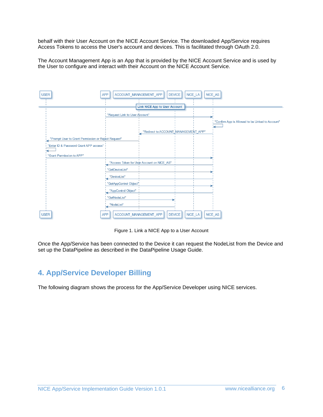behalf with their User Account on the NICE Account Service. The downloaded App/Service requires Access Tokens to access the User's account and devices. This is facilitated through OAuth 2.0.

The Account Management App is an App that is provided by the NICE Account Service and is used by the User to configure and interact with their Account on the NICE Account Service.

| <b>USER</b>                                         | NICE AS<br>ACCOUNT MANAGEMENT APP<br><b>DEVICE</b><br>NICE LA<br><b>APP</b> |
|-----------------------------------------------------|-----------------------------------------------------------------------------|
|                                                     | <b>Link NICE App to User Account</b>                                        |
|                                                     | "Request Link to User Account"                                              |
|                                                     | "Confirm App is Allowed to be Linked to Account"                            |
|                                                     | "Redirect to ACCOUNT MANAGEMENT APP"                                        |
| "Prompt User to Grant Permission or Reject Request" |                                                                             |
| "Enter ID & Password Grant APP access"              |                                                                             |
| "Grant Permission to APP"                           |                                                                             |
|                                                     | "Access Token for User Account on NICE AS"                                  |
|                                                     | "GetDeviceList"                                                             |
|                                                     | "DeviceList"                                                                |
|                                                     | "GetAppControl Object"                                                      |
|                                                     | "AppControl Object"                                                         |
|                                                     | "GetNodeList"                                                               |
|                                                     | "NodeList"                                                                  |
| <b>USER</b>                                         | <b>DEVICE</b><br>NICE LA<br>NICE AS<br><b>APP</b><br>ACCOUNT MANAGEMENT APP |

Figure 1. Link a NICE App to a User Account

Once the App/Service has been connected to the Device it can request the NodeList from the Device and set up the DataPipeline as described in the DataPipeline Usage Guide.

### <span id="page-5-0"></span>**4. App/Service Developer Billing**

The following diagram shows the process for the App/Service Developer using NICE services.